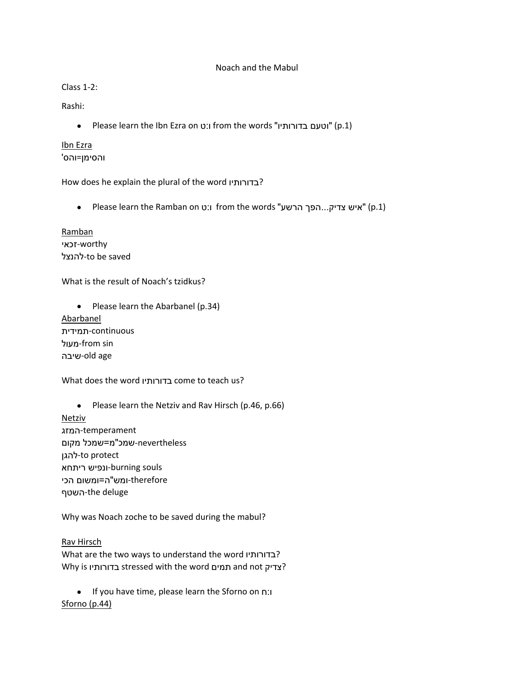### Noach and the Mabul

# Class 1-2:

Rashi:

Please learn the Ibn Ezra on ט:ו from the words "בדורותיו וטעם) "p.1)

## Ibn Ezra והסימן=והס'

How does he explain the plural of the word בדורותיו?

Please learn the Ramban on ט:ו from the words "הרשע הפך...צדיק איש) "p.1)

Ramban worthy-זכאי להנצל-to be saved

What is the result of Noach's tzidkus?

• Please learn the Abarbanel (p.34) Abarbanel continuous-תמידית מעול-from sin שיבה-old age

What does the word בדורותיו come to teach us?

• Please learn the Netziv and Rav Hirsch (p.46, p.66) Netziv temperament-המזג nevertheless-שמכ"מ=שמכל מקום להגן-to protect souls burning-ונפיש ריתחא therefore-ומש"ה=ומשום הכי השטף-the deluge

Why was Noach zoche to be saved during the mabul?

Rav Hirsch What are the two ways to understand the word בדורותיו? Why is בדורותיו stressed with the word תמים and not צדיק?

 If you have time, please learn the Sforno on ח:ו Sforno (p.44)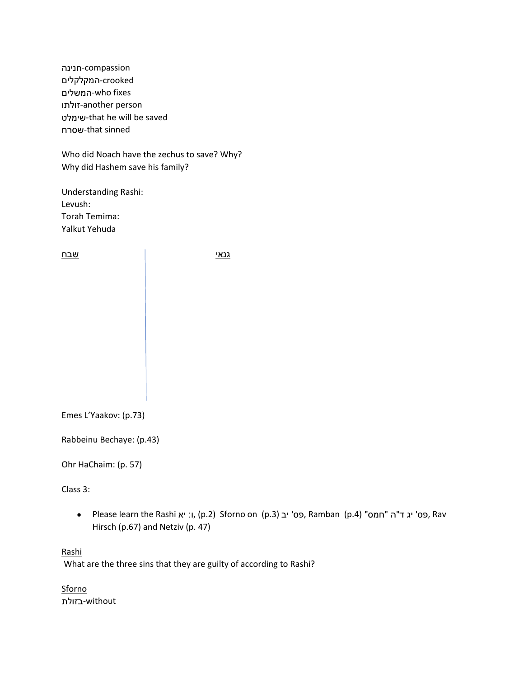compassion-חנינה crooked-המקלקלים המשלים-who fixes זולתו-another person שימלט-that he will be saved שסרח-that sinned

Who did Noach have the zechus to save? Why? Why did Hashem save his family?

Understanding Rashi: Levush: Torah Temima: Yalkut Yehuda

| שבח | גנאי |
|-----|------|
|     |      |
|     |      |
|     |      |
|     |      |
|     |      |
|     |      |

Emes L'Yaakov: (p.73)

Rabbeinu Bechaye: (p.43)

Ohr HaChaim: (p. 57)

Class 3:

 Please learn the Rashi יא :ו,) p.2) Sforno on (p.3) יב' פס, Ramban (p.4) "חמס "ה"ד יג' פס, Rav Hirsch (p.67) and Netziv (p. 47)

Rashi

What are the three sins that they are guilty of according to Rashi?

Sforno without-בזולת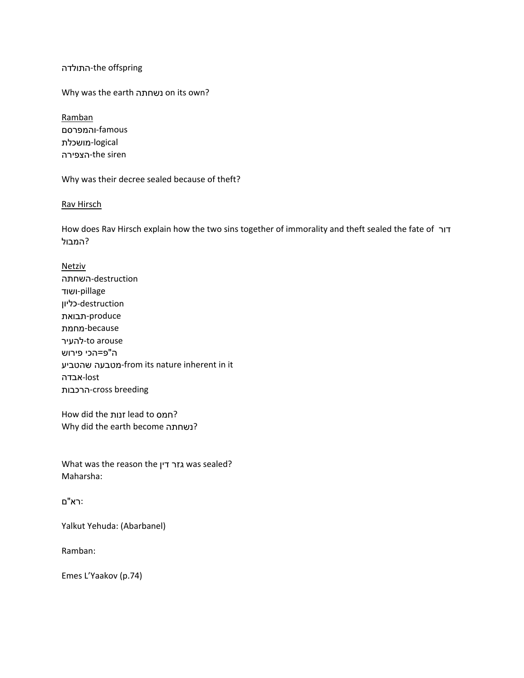### התולדה-the offspring

Why was the earth נשחתה on its own?

Ramban famous-והמפרסם logical-מושכלת הצפירה-the siren

Why was their decree sealed because of theft?

#### Rav Hirsch

How does Rav Hirsch explain how the two sins together of immorality and theft sealed the fate of דור ?המבול

Netziv destruction-השחתה pillage-ושוד destruction-כליון produce-תבואת because-מחמת to arouse-להעיר ה"פ=הכי פירוש מטבעה שהטביע<sup>-</sup>from its nature inherent in it lost-אבדה הרכבות-cross breeding

How did the זנות lead to חמס? Why did the earth become נשחתה?

What was the reason the דין גזר was sealed? Maharsha:

## :רא"ם

Yalkut Yehuda: (Abarbanel)

Ramban:

Emes L'Yaakov (p.74)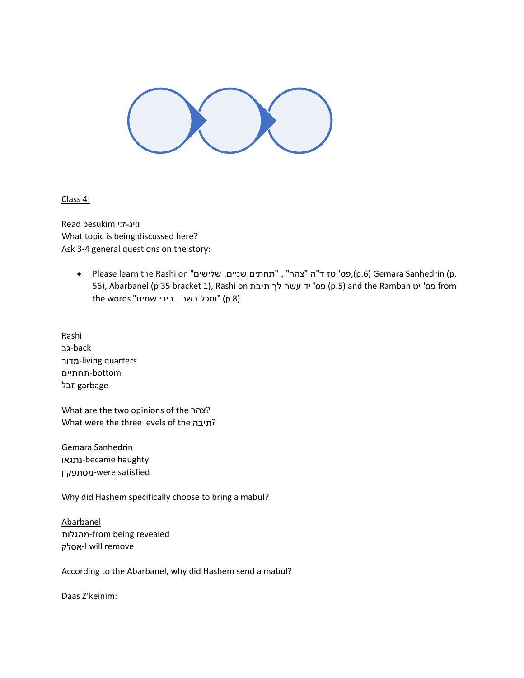

Class 4:

ו:יג-ז:י pesukim Read What topic is being discussed here? Ask 3-4 general questions on the story:

> • Please learn the Rashi on "שלישים", "תחתים,שניים, שלישים" Please learn the Rashi on "תחתים, 56), Abarbanel (p 35 bracket 1), Rashi on תיבת לך עשה יד' פס) p.5) and the Ramban יט' פס from the words "ומכל בשר...בידי שמים" (p 8)

Rashi back-גב מדור-living quarters bottom-תחתיים garbage-זבל

What are the two opinions of the צהר? What were the three levels of the תיבה?

Gemara Sanhedrin נתגאו-became haughty מסתפקין-were satisfied

Why did Hashem specifically choose to bring a mabul?

Abarbanel מהגלות-from being revealed אסלק-I will remove

According to the Abarbanel, why did Hashem send a mabul?

Daas Z'keinim: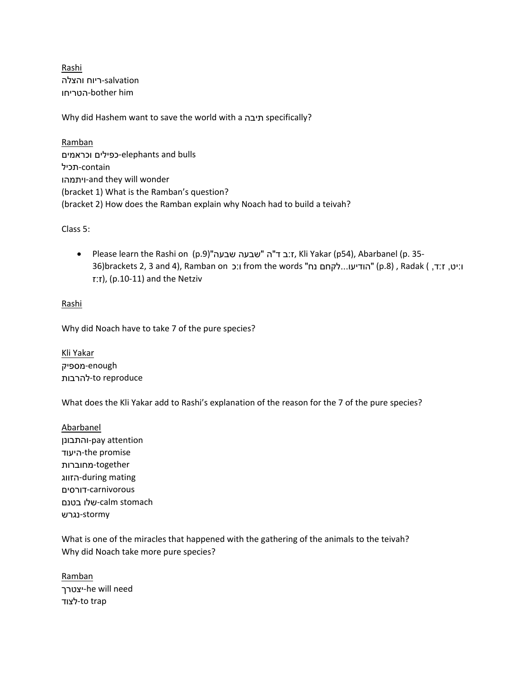Rashi salvation-ריוח והצלה הטריחו-bother him

Why did Hashem want to save the world with a תיבה specifically?

Ramban וכראמים כפילים-elephants and bulls contain-תכיל ויתמהו-and they will wonder (bracket 1) What is the Ramban's question? (bracket 2) How does the Ramban explain why Noach had to build a teivah?

Class 5:

 Please learn the Rashi on (p.9)"שבעה שבעה "ה"ד ב:ז, Kli Yakar (p54), Abarbanel (p. 35- ו:יט, ז:ד, ) Radak (p.8) "הודיעו...לקחם נח" from the words ו:כ 36)brackets 2, 3 and 4), Ramban on ו  $\mathsf{T}:\mathsf{T}$ ), (p.10-11) and the Netziv

## Rashi

Why did Noach have to take 7 of the pure species?

Kli Yakar enough-מספיק to reproduce-להרבות

What does the Kli Yakar add to Rashi's explanation of the reason for the 7 of the pure species?

Abarbanel והתבונן-pay attention היעוד-the promise together-מחוברות הזווג-during mating carnivorous-דורסים stomach calm-שלו בטנם stormy-נגרש

What is one of the miracles that happened with the gathering of the animals to the teivah? Why did Noach take more pure species?

Ramban יצטרך-he will need לצוד-to trap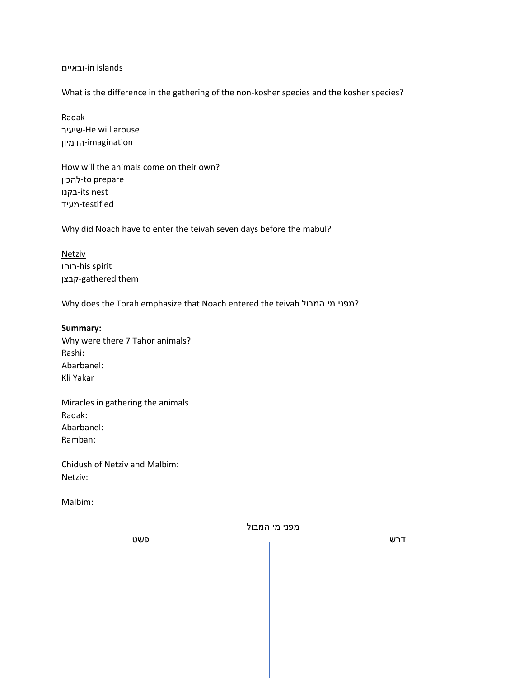ובאיים-in islands

What is the difference in the gathering of the non-kosher species and the kosher species?

Radak שיעיר-He will arouse imagination-הדמיון

How will the animals come on their own? להכין-to prepare בקנו-its nest testified-מעיד

Why did Noach have to enter the teivah seven days before the mabul?

Netziv רוחו-his spirit קבצן-gathered them

Why does the Torah emphasize that Noach entered the teivah המפני מי המבול?

#### **Summary:**

Why were there 7 Tahor animals? Rashi: Abarbanel: Kli Yakar

Miracles in gathering the animals Radak: Abarbanel: Ramban:

Chidush of Netziv and Malbim: Netziv:

Malbim:

מפני מי המבול

דרש פשט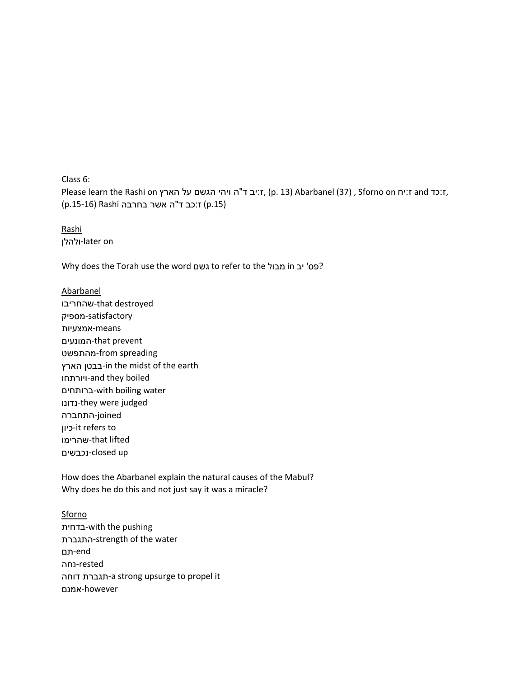Class 6:

Please learn the Rashi on ז:יב ד"ה ויהי הגשם על הארץ, (p. 13) Abarbanel (37) , Sforno on ז:יח and ז:יח;<br>(p.15-16) Rashi וכב ד"ה אשר בחרבה (p.15)

Rashi ולהלן-later on

Why does the Torah use the word גשם to refer to the מבול in יב' פס?

Abarbanel שהחריבו-that destroyed satisfactory-מספיק means-אמצעיות המונעים-that prevent מהתפשט-from spreading הארץ בבטן-in the midst of the earth ויורתחו-and they boiled ברותחים-with boiling water נדונו-they were judged joined-התחברה כיון-it refers to שהרימו-that lifted נכבשים-closed up

How does the Abarbanel explain the natural causes of the Mabul? Why does he do this and not just say it was a miracle?

**Sforno** בדחית-with the pushing התגברת-strength of the water end-תם rested-נחה דוחה תגברת-a strong upsurge to propel it however-אמנם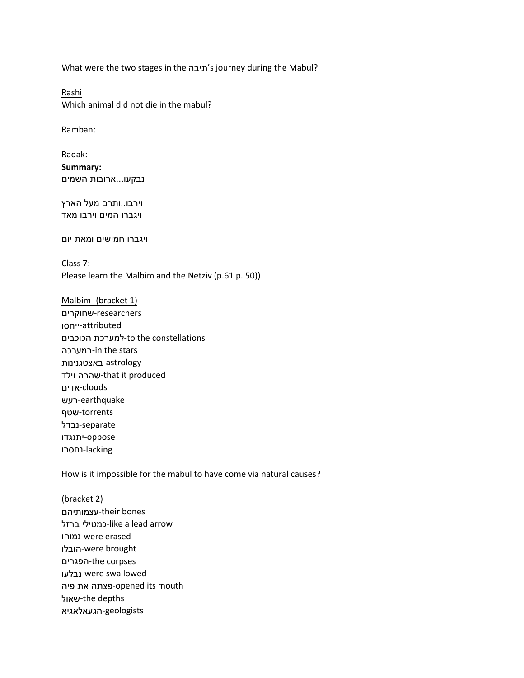What were the two stages in the תיבה's journey during the Mabul?

Rashi Which animal did not die in the mabul?

Ramban:

Radak: **Summary:** נבקעו...ארובות השמים

וירבו..ותרם מעל הארץ ויגברו המים וירבו מאד

ויגברו חמישים ומאת יום

Class 7: Please learn the Malbim and the Netziv (p.61 p. 50))

Malbim- (bracket 1) researchers-שחוקרים attributed-ייחסו to the constellations-למערכת הכוכבים במערכה-in the stars astrology-באצטגנינות וילד שהרה-that it produced clouds-אדים earthquake-רעש torrents-שטף separate-נבדל oppose-יתנגדו lacking-נחסרו

How is it impossible for the mabul to have come via natural causes?

(bracket 2) עצמותיהם-their bones ברזל כמטילי-like a lead arrow נמוחו-were erased הובלו-were brought הפגרים-the corpses נבלעו-were swallowed mouth its opened-פצתה את פיה שאול-the depths geologists-הגעאלאגיא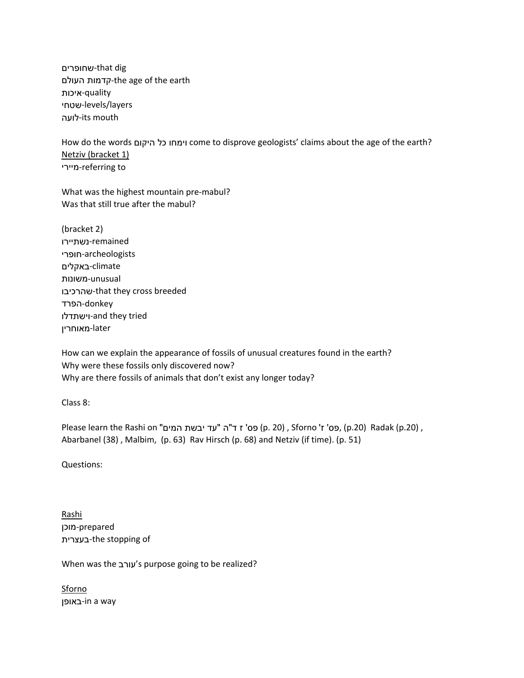שחופרים-that dig העולם קדמות-the age of the earth quality-איכות שטחי-levels/layers לועה-its mouth

How do the words היקום כל וימחו come to disprove geologists' claims about the age of the earth? Netziv (bracket 1) מיירי-referring to

What was the highest mountain pre-mabul? Was that still true after the mabul?

(bracket 2) remained-נשתיירו archeologists-חופרי climate-באקלים unusual-משונות שהרכיבו-that they cross breeded donkey-הפרד וישתדלו-and they tried later-מאוחרין

How can we explain the appearance of fossils of unusual creatures found in the earth? Why were these fossils only discovered now? Why are there fossils of animals that don't exist any longer today?

Class 8:

Please learn the Rashi on "עד יבשת המים" ס' ז ד"ה) פס' p. 20) , Sforno 'ז' ס, (p.20) Radak (p.20) , Abarbanel (38) , Malbim, (p. 63) Rav Hirsch (p. 68) and Netziv (if time). (p. 51)

Questions:

Rashi prepared-מוכן בעצרית-the stopping of

When was the עורב's purpose going to be realized?

**Sforno** באופן-in a way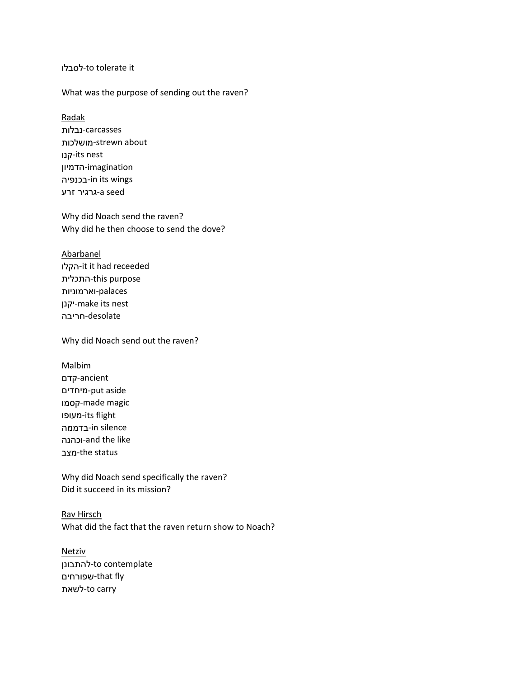#### לסבלו-to tolerate it

#### What was the purpose of sending out the raven?

Radak carcasses-נבלות מושלכות-strewn about קנו-its nest imagination-הדמיון בכנפיה-in its wings seed a-גרגיר זרע

Why did Noach send the raven? Why did he then choose to send the dove?

# Abarbanel

הקלו-it it had receeded התכלית-this purpose palaces-וארמוניות יקנן-make its nest desolate-חריבה

Why did Noach send out the raven?

Malbim ancient-קדם מיחדים-put aside קסמו-made magic מעופו-its flight בדממה-in silence וכהנה-and the like מצב-the status

Why did Noach send specifically the raven? Did it succeed in its mission?

Rav Hirsch What did the fact that the raven return show to Noach?

Netziv להתבונן-to contemplate שפורחים-that fly לשאת-to carry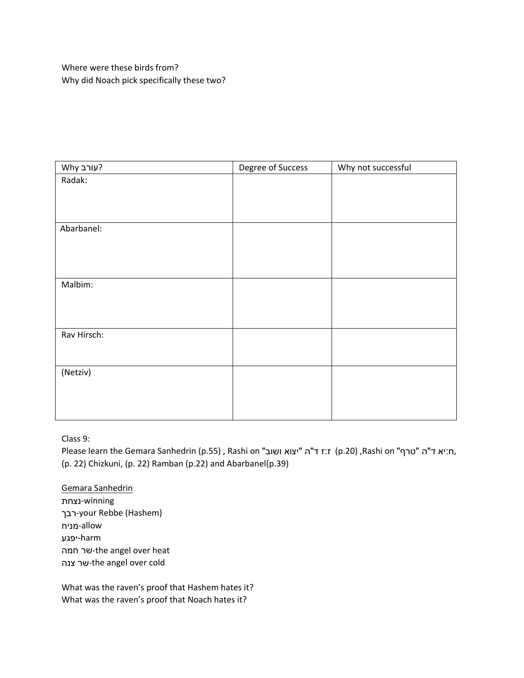Where were these birds from? Why did Noach pick specifically these two?

| Why יעורב?  | Degree of Success | Why not successful |
|-------------|-------------------|--------------------|
| Radak:      |                   |                    |
|             |                   |                    |
|             |                   |                    |
|             |                   |                    |
| Abarbanel:  |                   |                    |
|             |                   |                    |
|             |                   |                    |
|             |                   |                    |
| Malbim:     |                   |                    |
|             |                   |                    |
|             |                   |                    |
|             |                   |                    |
| Rav Hirsch: |                   |                    |
|             |                   |                    |
|             |                   |                    |
| (Netziv)    |                   |                    |
|             |                   |                    |
|             |                   |                    |
|             |                   |                    |

Class 9:

Please learn the Gemara Sanhedrin (p.55) , Rashi on "ווא ד"ה (p.20) ,Rashi on "ח:יא ד"ה "טרף",<br>(p. 22) Chizkuni, (p. 22) Ramban (p.22) and Abarbanel(p.39)

Gemara Sanhedrin winning-נצחת רבך-your Rebbe (Hashem) allow-מניח harm-יפגע חמה שר-the angel over heat צנה שר-the angel over cold

What was the raven's proof that Hashem hates it? What was the raven's proof that Noach hates it?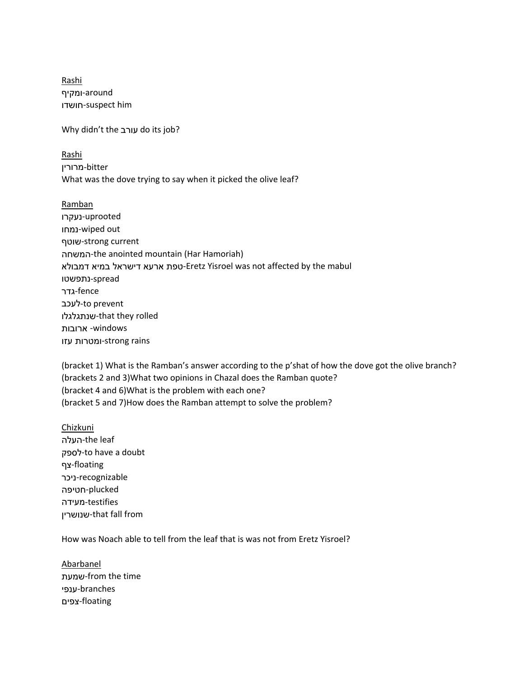Rashi around-ומקיף חושדו-suspect him

Why didn't the עורב do its job?

Rashi bitter-מרורין What was the dove trying to say when it picked the olive leaf?

Ramban uprooted-נעקרו נמחו-wiped out שוטף-strong current המשחה-the anointed mountain (Har Hamoriah) דמבולא במיא דישראל ארעא טפת-Eretz Yisroel was not affected by the mabul spread-נתפשטו fence-גדר to prevent-לעכב שנתגלגלו-that they rolled windows- ארובות rains strong-ומטרות עזו

(bracket 1) What is the Ramban's answer according to the p'shat of how the dove got the olive branch? (brackets 2 and 3)What two opinions in Chazal does the Ramban quote? (bracket 4 and 6)What is the problem with each one? (bracket 5 and 7)How does the Ramban attempt to solve the problem?

Chizkuni העלה-the leaf לספק-to have a doubt floating-צף recognizable-ניכר plucked-חטיפה testifies-מעידה שנושרין-that fall from

How was Noach able to tell from the leaf that is was not from Eretz Yisroel?

Abarbanel שמעת-from the time branches-ענפי floating-צפים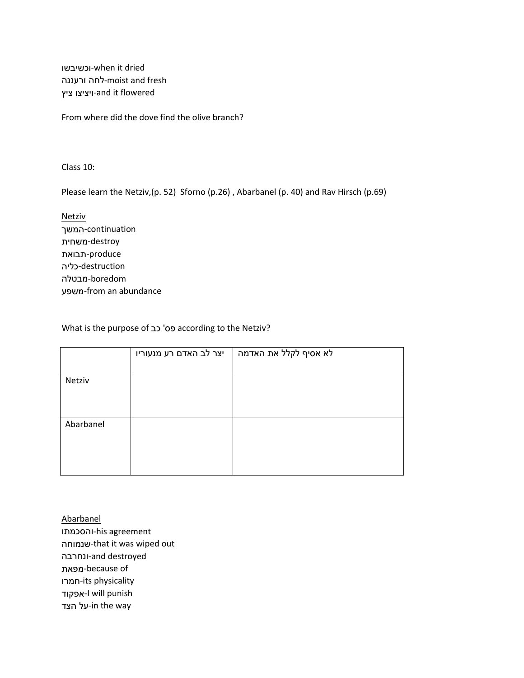וכשיבשו-when it dried ורעננה לחה-moist and fresh ציץ ויציצו-and it flowered

From where did the dove find the olive branch?

Class 10:

Please learn the Netziv,(p. 52) Sforno (p.26) , Abarbanel (p. 40) and Rav Hirsch (p.69)

Netziv continuation-המשך destroy-משחית produce-תבואת destruction-כליה boredom-מבטלה משפע-from an abundance

What is the purpose of כב' פס according to the Netziv?

|           | יצר לב האדם רע מנעוריו | לא אסיף לקלל את האדמה |
|-----------|------------------------|-----------------------|
|           |                        |                       |
| Netziv    |                        |                       |
|           |                        |                       |
|           |                        |                       |
|           |                        |                       |
| Abarbanel |                        |                       |
|           |                        |                       |
|           |                        |                       |
|           |                        |                       |
|           |                        |                       |

Abarbanel והסכמתו-his agreement שנמוחה-that it was wiped out ונחרבה-and destroyed מפאת-because of חמרו-its physicality אפקוד-I will punish הצד על-in the way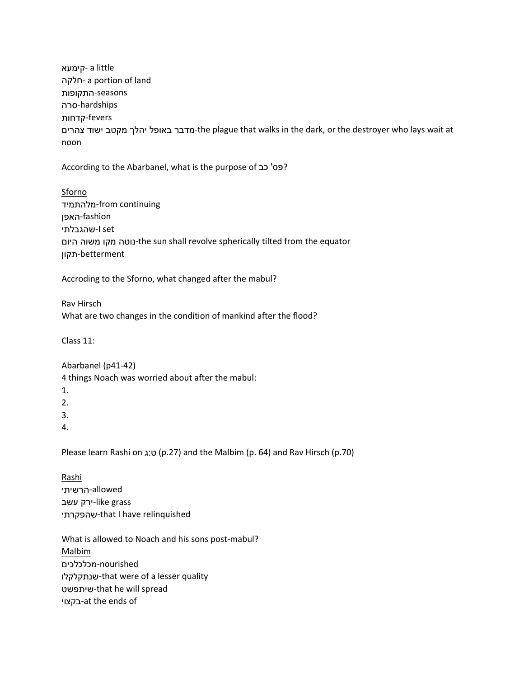קימעא- a little חלקה- a portion of land seasons-התקופות hardships-סרה fevers-קדחות מדבר באופל יהלך מקטב ישוד צהרים-the plague that walks in the dark, or the destroyer who lays wait at noon

According to the Abarbanel, what is the purpose of כב' פס' כב

Sforno מלהתמיד-from continuing fashion-האפן שהגבלתי-I set היום משוה מקו נוטה-the sun shall revolve spherically tilted from the equator betterment-תקון

Accroding to the Sforno, what changed after the mabul?

Rav Hirsch What are two changes in the condition of mankind after the flood?

Class 11:

Abarbanel (p41-42)

4 things Noach was worried about after the mabul:

1.

2.

3.

4.

Please learn Rashi on ג:ט) (p.27) and the Malbim (p. 64) and Rav Hirsch (p.70)

Rashi allowed-הרשיתי ירק עשב-like grass שהפקרתי-that I have relinquished

What is allowed to Noach and his sons post-mabul? Malbim nourished-מכלכלכים שנתקלקלו-that were of a lesser quality שיתפשט-that he will spread בקצוי-at the ends of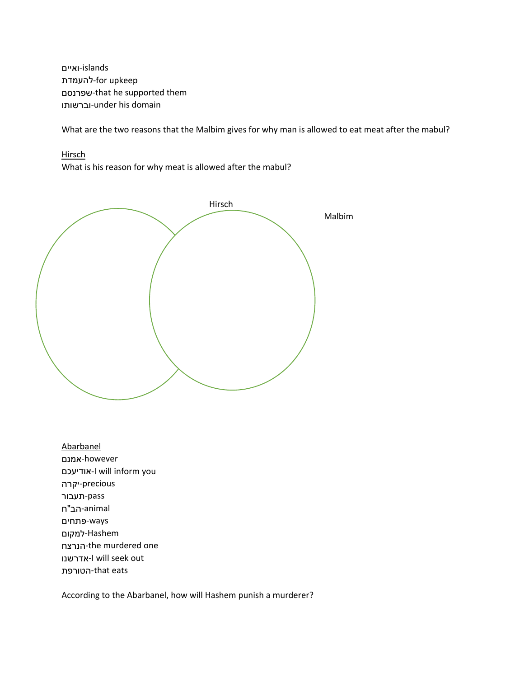islands-ואיים להעמדת-for upkeep שפרנסם-that he supported them וברשותו-under his domain

What are the two reasons that the Malbim gives for why man is allowed to eat meat after the mabul?

**Hirsch** 

What is his reason for why meat is allowed after the mabul?



Abarbanel however-אמנם אודיעכם-I will inform you precious-יקרה pass-תעבור animal-הב"ח ways-פתחים Hashem-למקום הנרצח-the murdered one אדרשנו-I will seek out הטורפת-that eats

According to the Abarbanel, how will Hashem punish a murderer?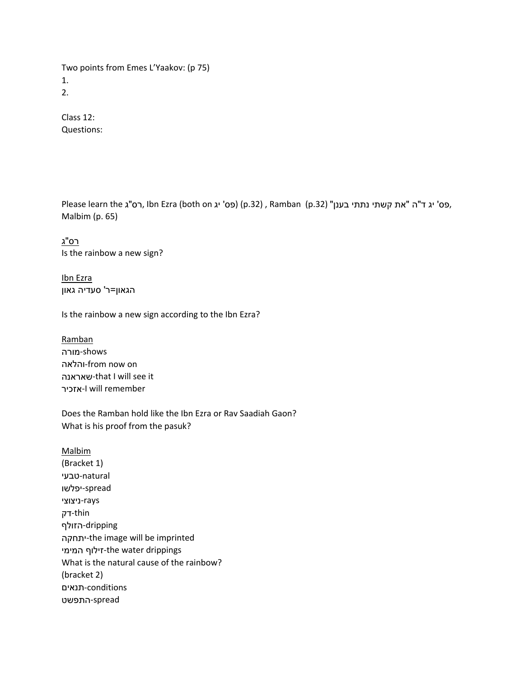Two points from Emes L'Yaakov: (p 75) 1. 2.

Class 12: Questions:

Please learn the ,פס' יג ד"ה "את קשתי נתתי בענן" (p.32) , Ramban (p.32) (פס' יג ד"ה "את קשתי נתתי בענן",<br>Malbim (p. 65)

רס"ג Is the rainbow a new sign?

Ibn Ezra הגאון=ר' סעדיה גאון

Is the rainbow a new sign according to the Ibn Ezra?

Ramban shows-מורה והלאה-from now on שאראנה-that I will see it אזכיר-I will remember

Does the Ramban hold like the Ibn Ezra or Rav Saadiah Gaon? What is his proof from the pasuk?

Malbim (Bracket 1) natural-טבעי spread-יפלשו rays-ניצוצי thin-דק dripping-הזולף יתחקה-the image will be imprinted המימי זילוף-the water drippings What is the natural cause of the rainbow? (bracket 2) conditions-תנאים spread-התפשט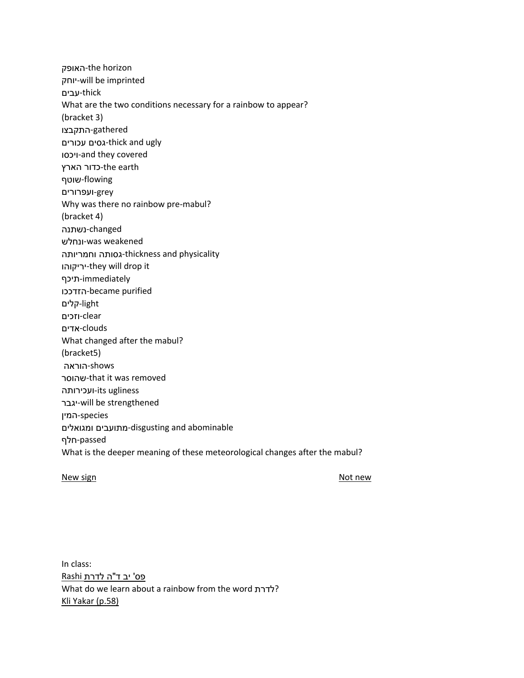האופק-the horizon יוחק-will be imprinted thick-עבים What are the two conditions necessary for a rainbow to appear? (bracket 3) gathered-התקבצו עכורים גסים-thick and ugly ויכסו-and they covered the earth -כדור הארץ flowing-שוטף grey-ועפרורים Why was there no rainbow pre-mabul? (bracket 4) changed-נשתנה ונחלש-was weakened וחמריותה גסותה-thickness and physicality יריקוהו-they will drop it immediately-תיכף הזדככו-became purified light-קלים clear-וזכים clouds-אדים What changed after the mabul? (bracket5) shows-הוראה שהוסר-that it was removed ועכירותה-its ugliness יגבר-will be strengthened species-המין ומגואלים מתועבים-disgusting and abominable passed-חלף What is the deeper meaning of these meteorological changes after the mabul?

#### New sign and the state of the state of the state of the SN of the SN of the SN of the SN of the SN of the SN of the SN of the SN of the SN of the SN of the SN of the SN of the SN of the SN of the SN of the SN of the SN of

In class: פס' יב ד"ה לדרת Rashi What do we learn about a rainbow from the word לדרת? Kli Yakar (p.58)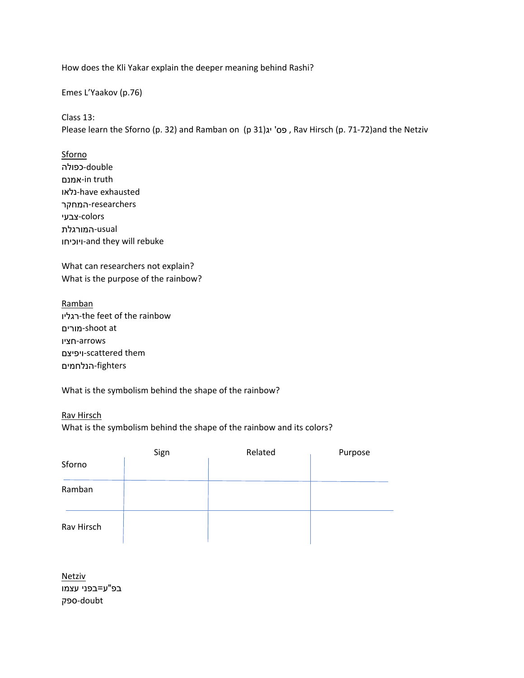How does the Kli Yakar explain the deeper meaning behind Rashi?

Emes L'Yaakov (p.76)

Class 13:

Please learn the Sforno (p. 32) and Ramban on (p 31)יג' פס , Rav Hirsch (p. 71-72)and the Netziv

**Sforno** double-כפולה אמנם-in truth נלאו-have exhausted researchers-המחקר

colors-צבעי usual-המורגלת ויוכיחו-and they will rebuke

What can researchers not explain? What is the purpose of the rainbow?

Ramban רגליו-the feet of the rainbow מורים-shoot at arrows-חציו ויפיצם-scattered them fighters-הנלחמים

What is the symbolism behind the shape of the rainbow?

Rav Hirsch What is the symbolism behind the shape of the rainbow and its colors?

|            | Sign | Related | Purpose |  |
|------------|------|---------|---------|--|
| Sforno     |      |         |         |  |
| Ramban     |      |         |         |  |
| Rav Hirsch |      |         |         |  |

Netziv בפ"ע=בפני עצמו doubt-ספק